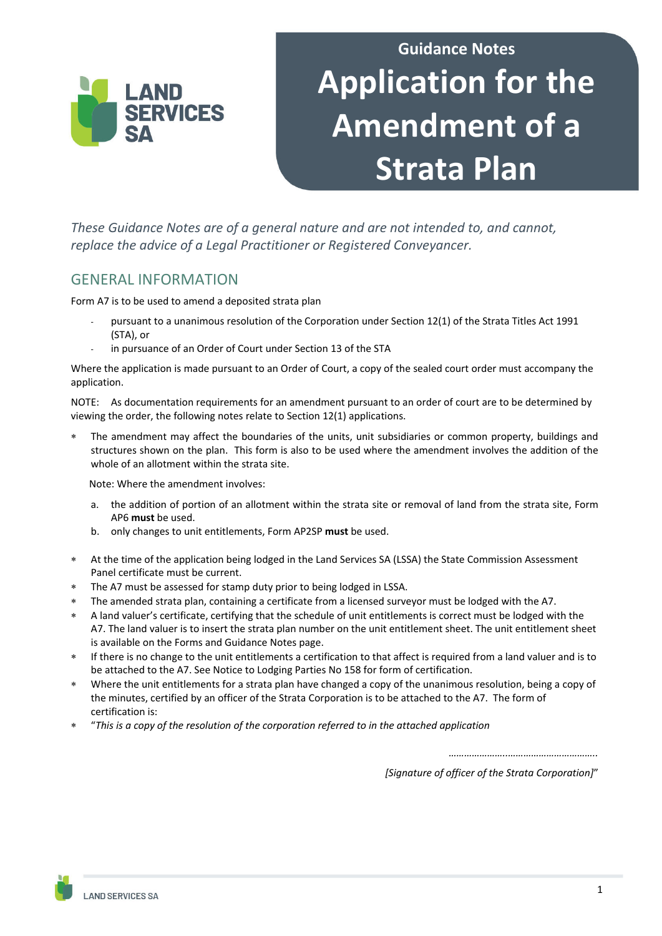

# **Guidance Notes Application for the Amendment of a Strata Plan**

*These Guidance Notes are of a general nature and are not intended to, and cannot, replace the advice of a Legal Practitioner or Registered Conveyancer.* 

## GENERAL INFORMATION

Form A7 is to be used to amend a deposited strata plan

- pursuant to a unanimous resolution of the Corporation under Section 12(1) of the Strata Titles Act 1991 (STA), or
- in pursuance of an Order of Court under Section 13 of the STA

Where the application is made pursuant to an Order of Court, a copy of the sealed court order must accompany the application.

NOTE: As documentation requirements for an amendment pursuant to an order of court are to be determined by viewing the order, the following notes relate to Section 12(1) applications.

 The amendment may affect the boundaries of the units, unit subsidiaries or common property, buildings and structures shown on the plan. This form is also to be used where the amendment involves the addition of the whole of an allotment within the strata site.

Note: Where the amendment involves:

- a. the addition of portion of an allotment within the strata site or removal of land from the strata site, Form AP6 **must** be used.
- b. only changes to unit entitlements, Form AP2SP **must** be used.
- At the time of the application being lodged in the Land Services SA (LSSA) the State Commission Assessment Panel certificate must be current.
- The A7 must be assessed for stamp duty prior to being lodged in LSSA.
- The amended strata plan, containing a certificate from a licensed surveyor must be lodged with the A7.
- A land valuer's certificate, certifying that the schedule of unit entitlements is correct must be lodged with the A7. The land valuer is to insert the strata plan number on the unit entitlement sheet. The unit entitlement sheet is available on the Forms and Guidance Notes page.
- If there is no change to the unit entitlements a certification to that affect is required from a land valuer and is to be attached to the A7. See Notice to Lodging Parties No 158 for form of certification.
- Where the unit entitlements for a strata plan have changed a copy of the unanimous resolution, being a copy of the minutes, certified by an officer of the Strata Corporation is to be attached to the A7. The form of certification is:
- "*This is a copy of the resolution of the corporation referred to in the attached application*

*…………………..……………………………..*

*[Signature of officer of the Strata Corporation]*"

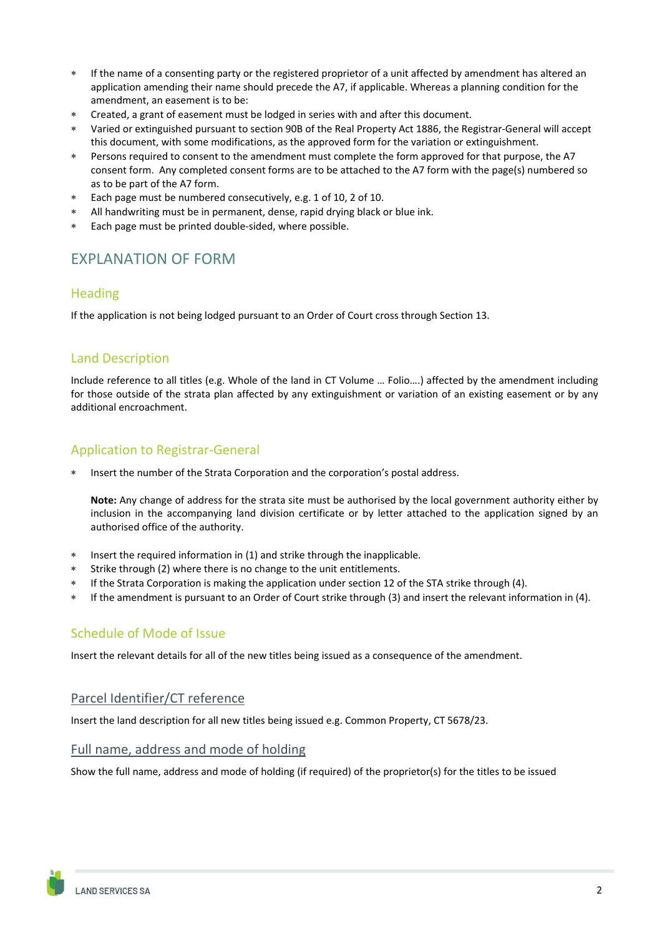- If the name of a consenting party or the registered proprietor of a unit affected by amendment has altered an application amending their name should precede the A7, if applicable. Whereas a planning condition for the amendment, an easement is to be:
- Created, a grant of easement must be lodged in series with and after this document.
- Varied or extinguished pursuant to section 90B of the Real Property Act 1886, the Registrar-General will accept this document, with some modifications, as the approved form for the variation or extinguishment.
- Persons required to consent to the amendment must complete the form approved for that purpose, the A7 consent form. Any completed consent forms are to be attached to the A7 form with the page(s) numbered so as to be part of the A7 form.
- Each page must be numbered consecutively, e.g. 1 of 10, 2 of 10.
- All handwriting must be in permanent, dense, rapid drying black or blue ink.
- Each page must be printed double-sided, where possible.

## EXPLANATION OF FORM

#### **Heading**

If the application is not being lodged pursuant to an Order of Court cross through Section 13.

### Land Description

Include reference to all titles (e.g. Whole of the land in CT Volume … Folio….) affected by the amendment including for those outside of the strata plan affected by any extinguishment or variation of an existing easement or by any additional encroachment.

## Application to Registrar-General

Insert the number of the Strata Corporation and the corporation's postal address.

**Note:** Any change of address for the strata site must be authorised by the local government authority either by inclusion in the accompanying land division certificate or by letter attached to the application signed by an authorised office of the authority.

- Insert the required information in (1) and strike through the inapplicable.
- Strike through (2) where there is no change to the unit entitlements.
- If the Strata Corporation is making the application under section 12 of the STA strike through (4).
- If the amendment is pursuant to an Order of Court strike through (3) and insert the relevant information in (4).

## Schedule of Mode of Issue

Insert the relevant details for all of the new titles being issued as a consequence of the amendment.

#### Parcel Identifier/CT reference

Insert the land description for all new titles being issued e.g. Common Property, CT 5678/23.

#### Full name, address and mode of holding

Show the full name, address and mode of holding (if required) of the proprietor(s) for the titles to be issued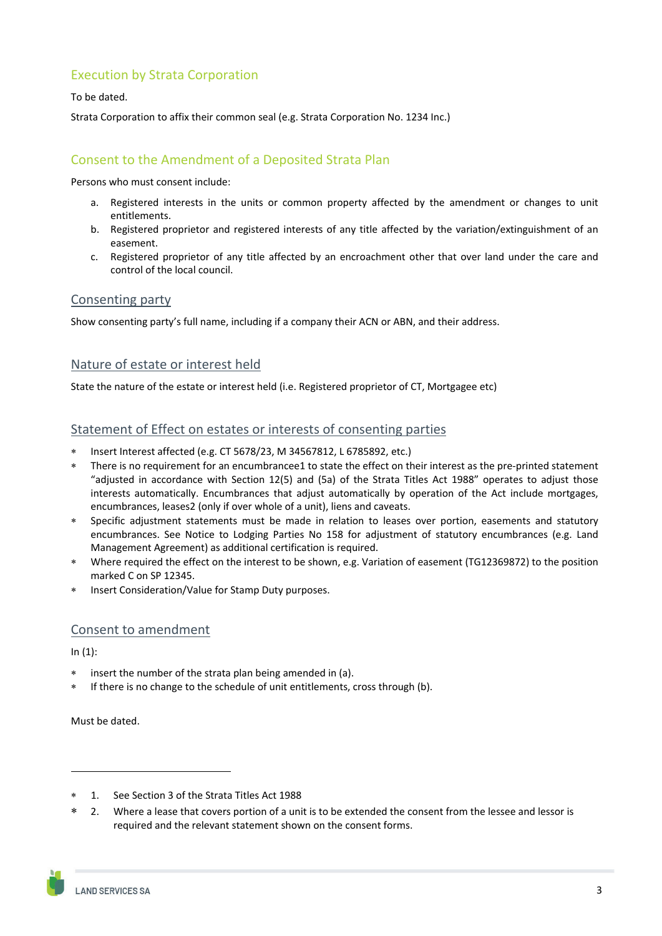## Execution by Strata Corporation

To be dated.

Strata Corporation to affix their common seal (e.g. Strata Corporation No. 1234 Inc.)

## Consent to the Amendment of a Deposited Strata Plan

Persons who must consent include:

- a. Registered interests in the units or common property affected by the amendment or changes to unit entitlements.
- b. Registered proprietor and registered interests of any title affected by the variation/extinguishment of an easement.
- c. Registered proprietor of any title affected by an encroachment other that over land under the care and control of the local council.

#### Consenting party

Show consenting party's full name, including if a company their ACN or ABN, and their address.

### Nature of estate or interest held

State the nature of the estate or interest held (i.e. Registered proprietor of CT, Mortgagee etc)

#### Statement of Effect on estates or interests of consenting parties

- Insert Interest affected (e.g. CT 5678/23, M 34567812, L 6785892, etc.)
- There is no requirement for an encumbrancee1 to state the effect on their interest as the pre-printed statement "adjusted in accordance with Section 12(5) and (5a) of the Strata Titles Act 1988" operates to adjust those interests automatically. Encumbrances that adjust automatically by operation of the Act include mortgages, encumbrances, leases2 (only if over whole of a unit), liens and caveats.
- Specific adjustment statements must be made in relation to leases over portion, easements and statutory encumbrances. See Notice to Lodging Parties No 158 for adjustment of statutory encumbrances (e.g. Land Management Agreement) as additional certification is required.
- Where required the effect on the interest to be shown, e.g. Variation of easement (TG12369872) to the position marked C on SP 12345.
- Insert Consideration/Value for Stamp Duty purposes.

#### Consent to amendment

 $In (1):$ 

- insert the number of the strata plan being amended in (a).
- If there is no change to the schedule of unit entitlements, cross through (b).

Must be dated.

- 1. See Section 3 of the Strata Titles Act 1988
- 2. Where a lease that covers portion of a unit is to be extended the consent from the lessee and lessor is required and the relevant statement shown on the consent forms.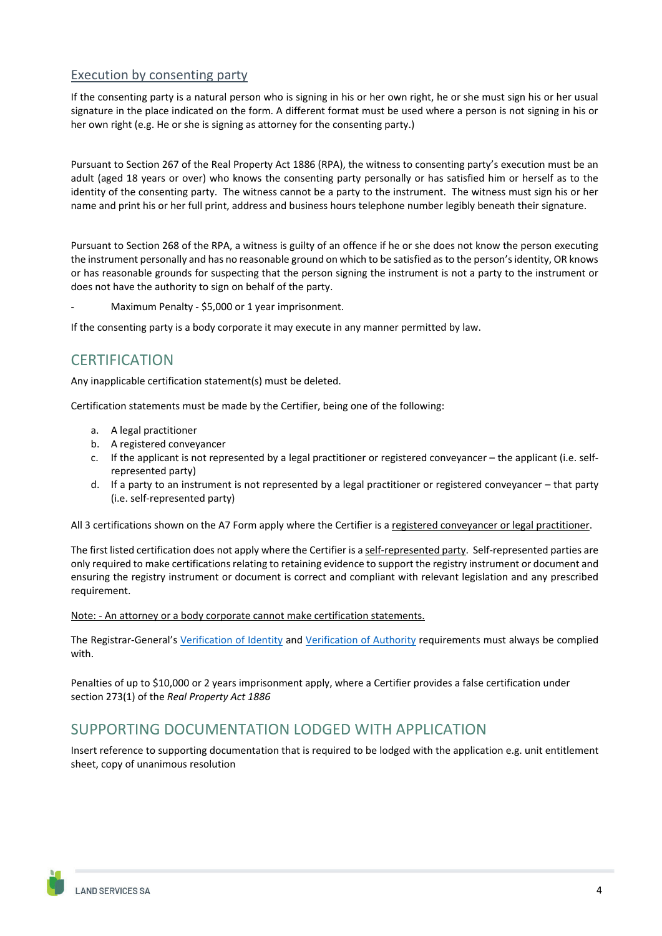## Execution by consenting party

If the consenting party is a natural person who is signing in his or her own right, he or she must sign his or her usual signature in the place indicated on the form. A different format must be used where a person is not signing in his or her own right (e.g. He or she is signing as attorney for the consenting party.)

Pursuant to Section 267 of the Real Property Act 1886 (RPA), the witness to consenting party's execution must be an adult (aged 18 years or over) who knows the consenting party personally or has satisfied him or herself as to the identity of the consenting party. The witness cannot be a party to the instrument. The witness must sign his or her name and print his or her full print, address and business hours telephone number legibly beneath their signature.

Pursuant to Section 268 of the RPA, a witness is guilty of an offence if he or she does not know the person executing the instrument personally and has no reasonable ground on which to be satisfied as to the person's identity, OR knows or has reasonable grounds for suspecting that the person signing the instrument is not a party to the instrument or does not have the authority to sign on behalf of the party.

Maximum Penalty - \$5,000 or 1 year imprisonment.

If the consenting party is a body corporate it may execute in any manner permitted by law.

# **CERTIFICATION**

Any inapplicable certification statement(s) must be deleted.

Certification statements must be made by the Certifier, being one of the following:

- a. A legal practitioner
- b. A registered conveyancer
- c. If the applicant is not represented by a legal practitioner or registered conveyancer the applicant (i.e. selfrepresented party)
- d. If a party to an instrument is not represented by a legal practitioner or registered conveyancer that party (i.e. self-represented party)

All 3 certifications shown on the A7 Form apply where the Certifier is a registered conveyancer or legal practitioner.

The first listed certification does not apply where the Certifier is a self-represented party. Self-represented parties are only required to make certifications relating to retaining evidence to support the registry instrument or document and ensuring the registry instrument or document is correct and compliant with relevant legislation and any prescribed requirement.

Note: - An attorney or a body corporate cannot make certification statements.

The Registrar-General's Verification of Identity and Verification of Authority requirements must always be complied with.

Penalties of up to \$10,000 or 2 years imprisonment apply, where a Certifier provides a false certification under section 273(1) of the *Real Property Act <sup>1886</sup>*

# SUPPORTING DOCUMENTATION LODGED WITH APPLICATION

Insert reference to supporting documentation that is required to be lodged with the application e.g. unit entitlement sheet, copy of unanimous resolution